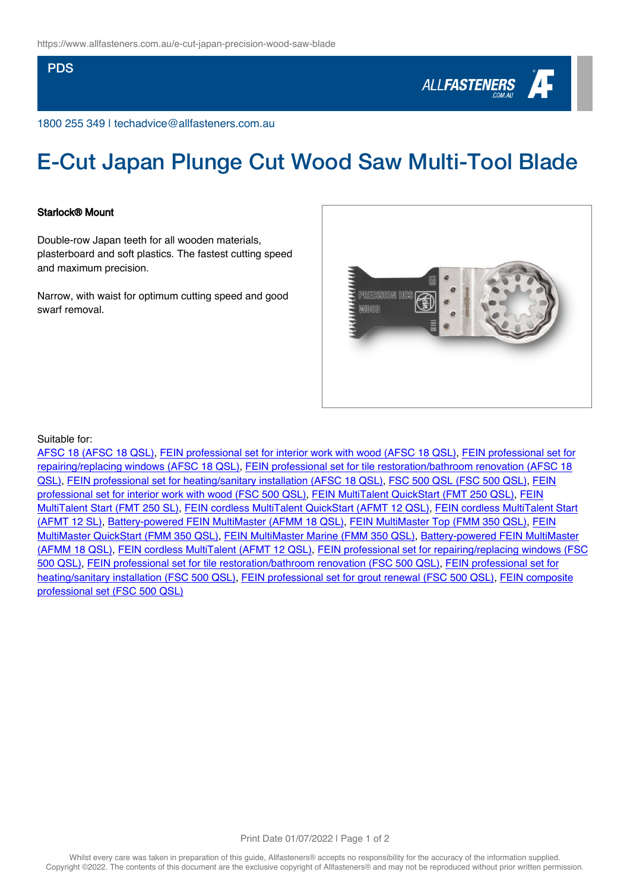### PDS



1800 255 349 | techadvice@allfasteners.com.au

# E-Cut Japan Plunge Cut Wood Saw Multi-Tool Blade

#### Starlock® Mount

Double-row Japan teeth for all wooden materials, plasterboard and soft plastics. The fastest cutting speed and maximum precision.

Narrow, with waist for optimum cutting speed and good swarf removal.



#### Suitable for:

[AFSC 18 \(AFSC 18 QSL\),](https://fein.com/en_au/oscillating/supercut-construction/afsc-18-0341576/) [FEIN professional set for interior work with wood \(AFSC 18 QSL\)](https://fein.com/en_au/oscillating/supercut-construction/fein-professional-set-for-interior-work-with-wood-0341586/), [FEIN professional set for](https://fein.com/en_au/oscillating/supercut-construction/fein-professional-set-for-repairing-replacing-windows-0341589/) [repairing/replacing windows \(AFSC 18 QSL\),](https://fein.com/en_au/oscillating/supercut-construction/fein-professional-set-for-repairing-replacing-windows-0341589/) [FEIN professional set for tile restoration/bathroom renovation \(AFSC 18](https://fein.com/en_au/oscillating/supercut-construction/fein-professional-set-for-tile-restoration-bathroom-renovation-0341590/) [QSL\),](https://fein.com/en_au/oscillating/supercut-construction/fein-professional-set-for-tile-restoration-bathroom-renovation-0341590/) [FEIN professional set for heating/sanitary installation \(AFSC 18 QSL\),](https://fein.com/en_au/oscillating/supercut-construction/fein-professional-set-for-heating-sanitary-installation-0341591/) [FSC 500 QSL \(FSC 500 QSL\)](https://fein.com/en_au/oscillating/supercut-construction/fsc-500-qsl-0341602/), [FEIN](https://fein.com/en_au/oscillating/supercut-construction/fein-professional-set-for-interior-work-with-wood-0341603/) [professional set for interior work with wood \(FSC 500 QSL\)](https://fein.com/en_au/oscillating/supercut-construction/fein-professional-set-for-interior-work-with-wood-0341603/), [FEIN MultiTalent QuickStart \(FMT 250 QSL\)](https://fein.com/en_au/oscillating/multimaster/fein-multitalent-quickstart-0341862/), [FEIN](https://fein.com/en_au/oscillating/multimaster/fein-multitalent-start-0341883/) [MultiTalent Start \(FMT 250 SL\)](https://fein.com/en_au/oscillating/multimaster/fein-multitalent-start-0341883/), [FEIN cordless MultiTalent QuickStart \(AFMT 12 QSL\),](https://fein.com/en_au/oscillating/multimaster/fein-cordless-multitalent-quickstart-0342143/) [FEIN cordless MultiTalent Start](https://fein.com/en_au/oscillating/multimaster/fein-cordless-multitalent-start-0342153/) [\(AFMT 12 SL\)](https://fein.com/en_au/oscillating/multimaster/fein-cordless-multitalent-start-0342153/), [Battery-powered FEIN MultiMaster \(AFMM 18 QSL\)](https://fein.com/en_au/oscillating/multimaster/battery-powered-fein-multimaster-0342462/), [FEIN MultiMaster Top \(FMM 350 QSL\),](https://fein.com/en_au/oscillating/multimaster/fein-multimaster-top-0342757/) [FEIN](https://fein.com/en_au/oscillating/multimaster/fein-multimaster-quickstart-0342769/) [MultiMaster QuickStart \(FMM 350 QSL\)](https://fein.com/en_au/oscillating/multimaster/fein-multimaster-quickstart-0342769/), [FEIN MultiMaster Marine \(FMM 350 QSL\)](https://fein.com/en_au/oscillating/multimaster/fein-multimaster-marine-0342785/), [Battery-powered FEIN MultiMaster](https://fein.com/en_au/oscillating/multimaster/battery-powered-fein-multimaster-0347273/) [\(AFMM 18 QSL\)](https://fein.com/en_au/oscillating/multimaster/battery-powered-fein-multimaster-0347273/), [FEIN cordless MultiTalent \(AFMT 12 QSL\),](https://fein.com/en_au/oscillating/multimaster/fein-cordless-multitalent-0348546/) [FEIN professional set for repairing/replacing windows \(FSC](https://fein.com/en_au/oscillating/supercut-construction/fein-professional-set-for-repairing-replacing-windows-0333823/) [500 QSL\),](https://fein.com/en_au/oscillating/supercut-construction/fein-professional-set-for-repairing-replacing-windows-0333823/) [FEIN professional set for tile restoration/bathroom renovation \(FSC 500 QSL\),](https://fein.com/en_au/oscillating/supercut-construction/fein-professional-set-for-tile-restoration-bathroom-renovation-0333824/) [FEIN professional set for](https://fein.com/en_au/oscillating/supercut-construction/fein-professional-set-for-heating-sanitary-installation-0333827/) [heating/sanitary installation \(FSC 500 QSL\),](https://fein.com/en_au/oscillating/supercut-construction/fein-professional-set-for-heating-sanitary-installation-0333827/) [FEIN professional set for grout renewal \(FSC 500 QSL\)](https://fein.com/en_au/oscillating/supercut-construction/fein-professional-set-for-grout-renewal-0345729/), [FEIN composite](https://fein.com/en_au/oscillating/supercut-construction/fein-composite-professional-set-0333828/) [professional set \(FSC 500 QSL\)](https://fein.com/en_au/oscillating/supercut-construction/fein-composite-professional-set-0333828/)